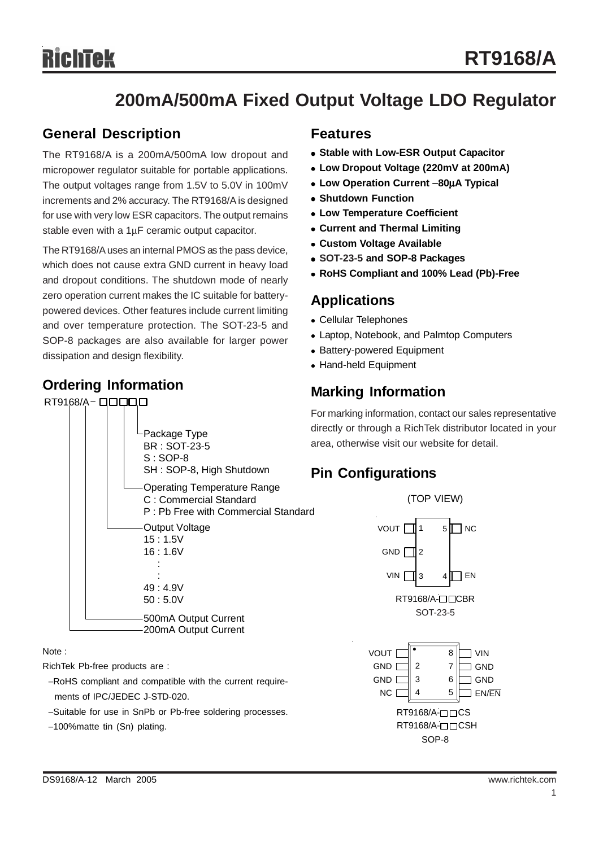# **200mA/500mA Fixed Output Voltage LDO Regulator**

### **General Description**

The RT9168/A is a 200mA/500mA low dropout and micropower regulator suitable for portable applications. The output voltages range from 1.5V to 5.0V in 100mV increments and 2% accuracy. The RT9168/A is designed for use with very low ESR capacitors. The output remains stable even with a 1μF ceramic output capacitor.

The RT9168/A uses an internal PMOS as the pass device, which does not cause extra GND current in heavy load and dropout conditions. The shutdown mode of nearly zero operation current makes the IC suitable for batterypowered devices. Other features include current limiting and over temperature protection. The SOT-23-5 and SOP-8 packages are also available for larger power dissipation and design flexibility.

### **Ordering Information**



Note :

RichTek Pb-free products are :

−RoHS compliant and compatible with the current require ments of IPC/JEDEC J-STD-020.

−Suitable for use in SnPb or Pb-free soldering processes.

−100%matte tin (Sn) plating.

### **Features**

- **Stable with Low-ESR Output Capacitor**
- <sup>z</sup> **Low Dropout Voltage (220mV at 200mA)**
- <sup>z</sup> **Low Operation Current** −**80**μ**A Typical**
- **Shutdown Function**
- **Low Temperature Coefficient**
- **Current and Thermal Limiting**
- **Custom Voltage Available**
- <sup>z</sup> **SOT-23-5 and SOP-8 Packages**
- <sup>z</sup> **RoHS Compliant and 100% Lead (Pb)-Free**

### **Applications**

- Cellular Telephones
- Laptop, Notebook, and Palmtop Computers
- Battery-powered Equipment
- Hand-held Equipment

# **Marking Information**

For marking information, contact our sales representative directly or through a RichTek distributor located in your area, otherwise visit our website for detail.

### **Pin Configurations**

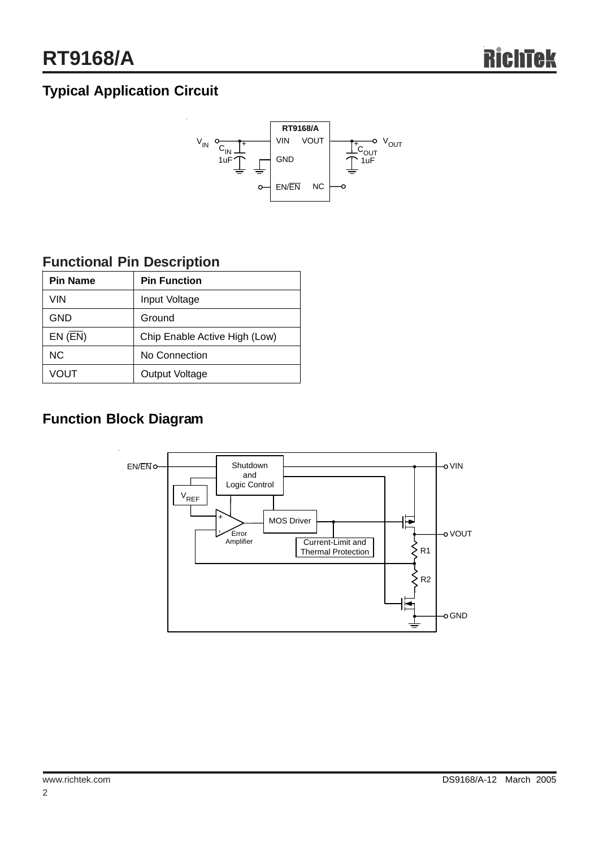# **Typical Application Circuit**



# **Functional Pin Description**

|      | <b>Pin Name</b> | <b>Pin Function</b>           |  |  |
|------|-----------------|-------------------------------|--|--|
|      | VIN             | Input Voltage                 |  |  |
|      | <b>GND</b>      | Ground                        |  |  |
|      | $EN$ ( $EN$ )   | Chip Enable Active High (Low) |  |  |
|      | N <sub>C</sub>  | No Connection                 |  |  |
| VOUT |                 | Output Voltage                |  |  |

# **Function Block Diagram**

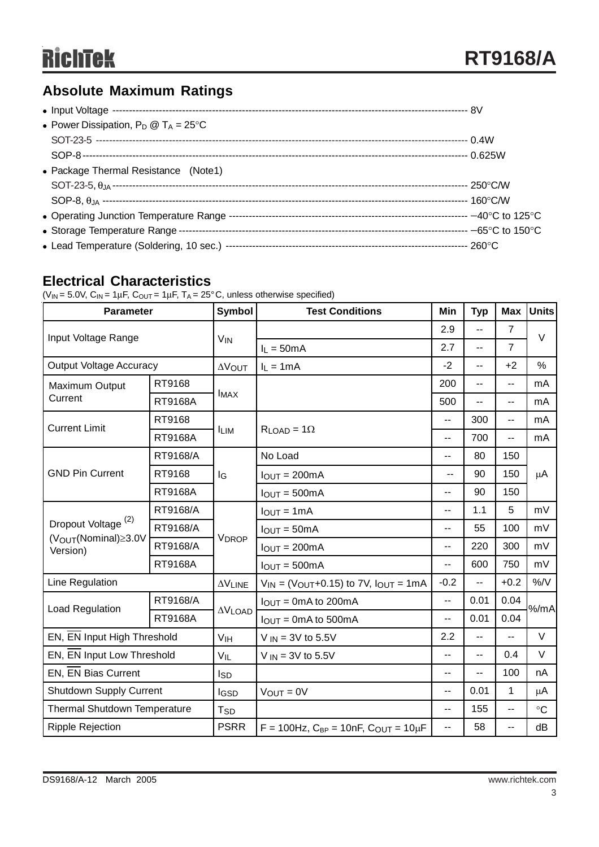# **Absolute Maximum Ratings**

| • Power Dissipation, $P_D @ T_A = 25^{\circ}C$ |  |
|------------------------------------------------|--|
|                                                |  |
|                                                |  |
| • Package Thermal Resistance (Note1)           |  |
|                                                |  |
|                                                |  |
|                                                |  |
|                                                |  |
|                                                |  |
|                                                |  |

### **Electrical Characteristics**

( $V_{IN}$  = 5.0V,  $C_{IN}$  = 1 $\mu$ F,  $C_{OUT}$  = 1 $\mu$ F, T<sub>A</sub> = 25°C, unless otherwise specified)

| <b>Parameter</b>                             |                | <b>Symbol</b>   | <b>Test Conditions</b>                                        | Min            | <b>Typ</b>     | <b>Max</b>     | <b>Units</b> |  |
|----------------------------------------------|----------------|-----------------|---------------------------------------------------------------|----------------|----------------|----------------|--------------|--|
| Input Voltage Range                          |                | $V_{IN}$        |                                                               | 2.9            | $-$            | $\overline{7}$ | $\vee$       |  |
|                                              |                |                 | $I_L = 50mA$                                                  | 2.7            | $-$            | $\overline{7}$ |              |  |
| <b>Output Voltage Accuracy</b>               |                | <b>AVOUT</b>    | $I_L = 1mA$                                                   | $-2$           | $\overline{a}$ | $+2$           | $\%$         |  |
| Maximum Output                               | RT9168         | <b>IMAX</b>     |                                                               | 200            | $\overline{a}$ | $-$            | mA           |  |
| Current                                      | <b>RT9168A</b> |                 |                                                               | 500            | $\overline{a}$ | $\overline{a}$ | mA           |  |
| <b>Current Limit</b>                         | RT9168         |                 |                                                               | --             | 300            | --             | mA           |  |
|                                              | RT9168A        | <b>LIM</b>      | $R_{LOAD} = 1\Omega$                                          | --             | 700            | $\overline{a}$ | mA           |  |
|                                              | RT9168/A       | lg              | No Load                                                       | --             | 80             | 150            | $\mu$ A      |  |
| <b>GND Pin Current</b>                       | RT9168         |                 | $IOUT = 200mA$                                                |                | 90             | 150            |              |  |
|                                              | RT9168A        |                 | $IOUT = 500mA$                                                | --             | 90             | 150            |              |  |
|                                              | RT9168/A       | <b>VDROP</b>    | $I_{OUT} = 1mA$                                               | $-$            | 1.1            | 5              | mV           |  |
| Dropout Voltage <sup>(2)</sup>               | RT9168/A       |                 | $I_{OUT} = 50mA$                                              | $\overline{a}$ | 55             | 100            | mV           |  |
| (V <sub>OUT</sub> (Nominal)≥3.0V<br>Version) | RT9168/A       |                 | $IOUT = 200mA$                                                | $\overline{a}$ | 220            | 300            | mV           |  |
|                                              | RT9168A        |                 | $I_{OUT} = 500mA$                                             | --             | 600            | 750            | mV           |  |
| Line Regulation                              |                | $\Delta V$ LINE | $V_{IN}$ = ( $V_{OUT}$ +0.15) to 7V, $I_{OUT}$ = 1mA          | $-0.2$         | н.             | $+0.2$         | $\%$ /V      |  |
| <b>Load Regulation</b>                       | RT9168/A       |                 | $I_{OUT} = 0mA$ to 200mA                                      | Ш.             | 0.04<br>0.01   |                | %/mA         |  |
|                                              | RT9168A        | $\Delta V$ LOAD | $IOUT = 0mA$ to 500mA                                         | --             | 0.01           | 0.04           |              |  |
| EN, EN Input High Threshold                  |                | V <sub>IH</sub> | $V_{IN}$ = 3V to 5.5V                                         |                | $\overline{a}$ | $\sim$         | $\vee$       |  |
| EN, EN Input Low Threshold                   |                | $V_{IL}$        | $V_{IN}$ = 3V to 5.5V                                         | --             | $\overline{a}$ | 0.4            | V            |  |
| EN, EN Bias Current                          |                | l <sub>SD</sub> |                                                               | $\overline{a}$ | $-$            | 100            | nA           |  |
| <b>Shutdown Supply Current</b>               |                | <b>I</b> GSD    | $V_{OUT} = 0V$                                                | --             | 0.01           | 1              | μA           |  |
| <b>Thermal Shutdown Temperature</b>          |                | T <sub>SD</sub> |                                                               | --             | 155            | --             | $\circ$ C    |  |
| <b>Ripple Rejection</b>                      |                | <b>PSRR</b>     | $F = 100$ Hz, C <sub>BP</sub> = 10nF, C <sub>OUT</sub> = 10µF | щ,             | 58             | --             | dB           |  |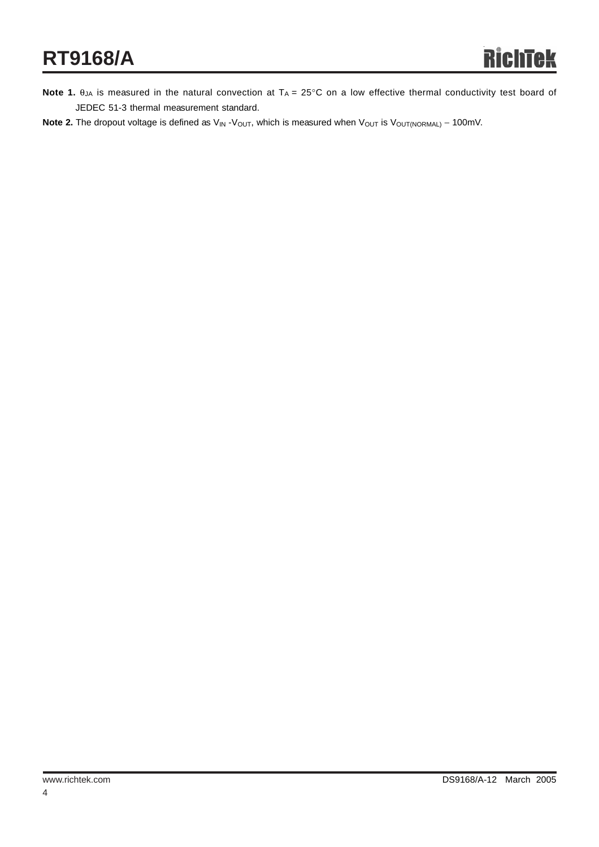- **Note 1.**  $\theta_{JA}$  is measured in the natural convection at  $T_A = 25^\circ$ C on a low effective thermal conductivity test board of JEDEC 51-3 thermal measurement standard.
- Note 2. The dropout voltage is defined as V<sub>IN</sub> -V<sub>OUT</sub>, which is measured when V<sub>OUT</sub> is V<sub>OUT(NORMAL)</sub> 100mV.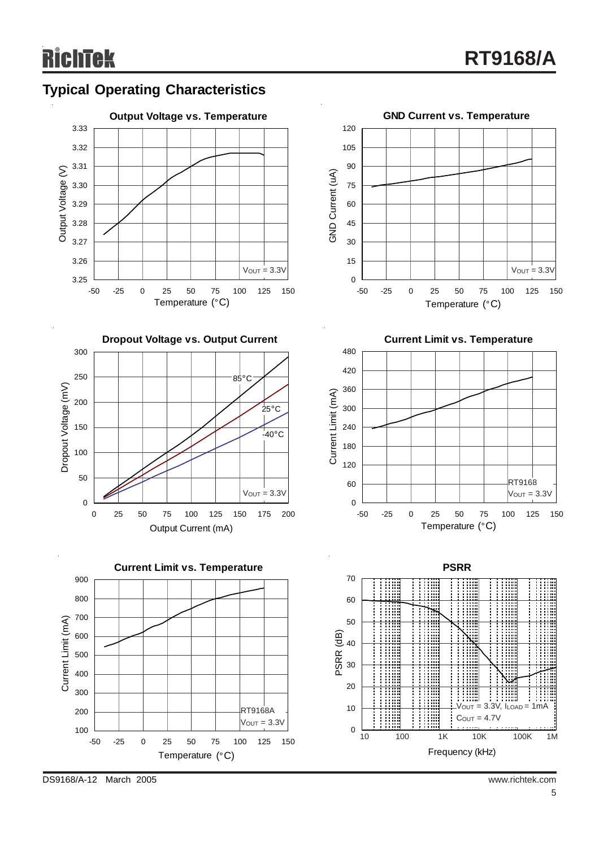



DS9168/A-12 March 2005 www.richtek.com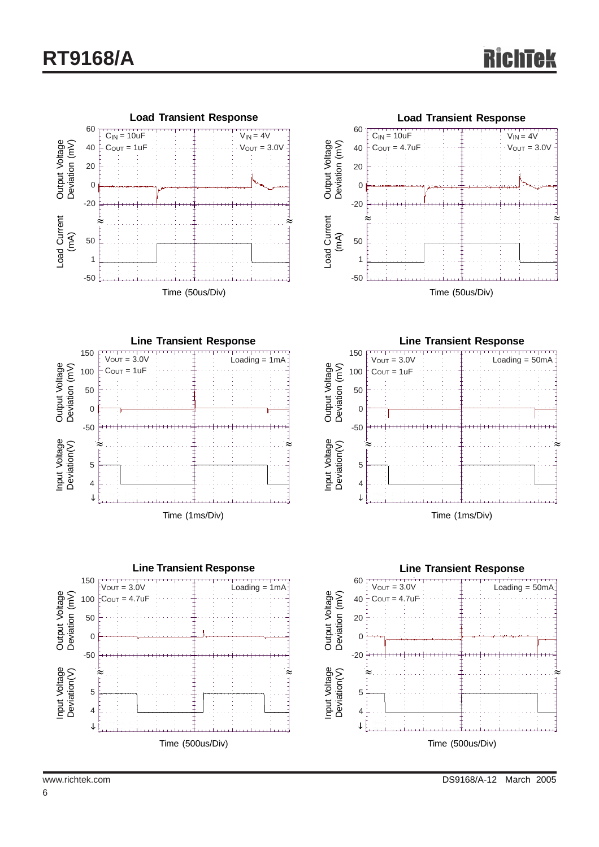

6

www.richtek.com DS9168/A-12 March 2005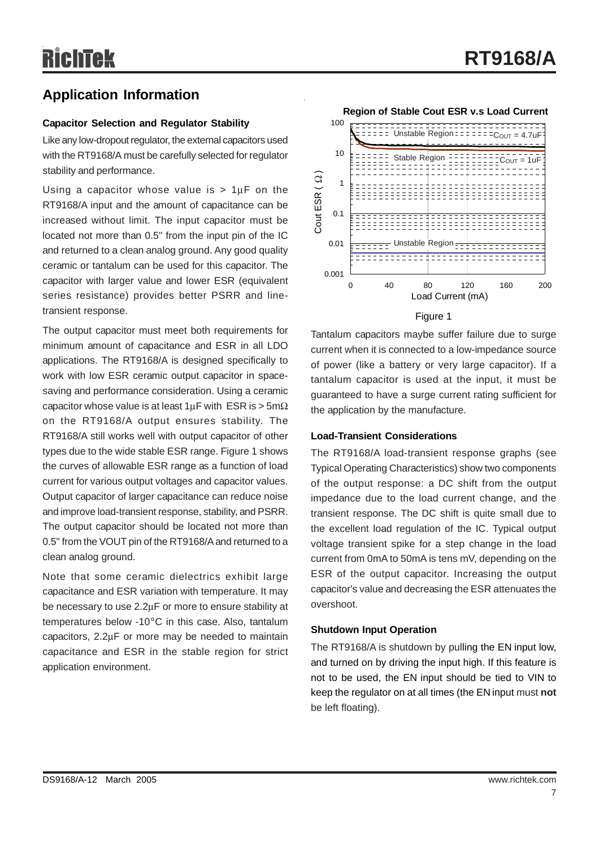### **Application Information**

#### **Capacitor Selection and Regulator Stability**

Like any low-dropout regulator, the external capacitors used with the RT9168/A must be carefully selected for regulator stability and performance.

Using a capacitor whose value is  $> 1 \mu$ F on the RT9168/A input and the amount of capacitance can be increased without limit. The input capacitor must be located not more than 0.5" from the input pin of the IC and returned to a clean analog ground. Any good quality ceramic or tantalum can be used for this capacitor. The capacitor with larger value and lower ESR (equivalent series resistance) provides better PSRR and linetransient response.

The output capacitor must meet both requirements for minimum amount of capacitance and ESR in all LDO applications. The RT9168/A is designed specifically to work with low ESR ceramic output capacitor in spacesaving and performance consideration. Using a ceramic capacitor whose value is at least  $1 \mu F$  with ESR is > 5m $\Omega$ on the RT9168/A output ensures stability. The RT9168/A still works well with output capacitor of other types due to the wide stable ESR range. Figure 1 shows the curves of allowable ESR range as a function of load current for various output voltages and capacitor values. Output capacitor of larger capacitance can reduce noise and improve load-transient response, stability, and PSRR. The output capacitor should be located not more than 0.5" from the VOUT pin of the RT9168/A and returned to a clean analog ground.

Note that some ceramic dielectrics exhibit large capacitance and ESR variation with temperature. It may be necessary to use 2.2μF or more to ensure stability at temperatures below -10°C in this case. Also, tantalum capacitors, 2.2μF or more may be needed to maintain capacitance and ESR in the stable region for strict application environment.

**Region of Stable Cout ESR v.s Load Current**



#### Figure 1

Tantalum capacitors maybe suffer failure due to surge current when it is connected to a low-impedance source of power (like a battery or very large capacitor). If a tantalum capacitor is used at the input, it must be guaranteed to have a surge current rating sufficient for the application by the manufacture.

#### **Load-Transient Considerations**

The RT9168/A load-transient response graphs (see Typical Operating Characteristics) show two components of the output response: a DC shift from the output impedance due to the load current change, and the transient response. The DC shift is quite small due to the excellent load regulation of the IC. Typical output voltage transient spike for a step change in the load current from 0mA to 50mA is tens mV, depending on the ESR of the output capacitor. Increasing the output capacitor's value and decreasing the ESR attenuates the overshoot.

#### **Shutdown Input Operation**

The RT9168/A is shutdown by pulling the EN input low, and turned on by driving the input high. If this feature is not to be used, the EN input should be tied to VIN to keep the regulator on at all times (the EN input must **not** be left floating).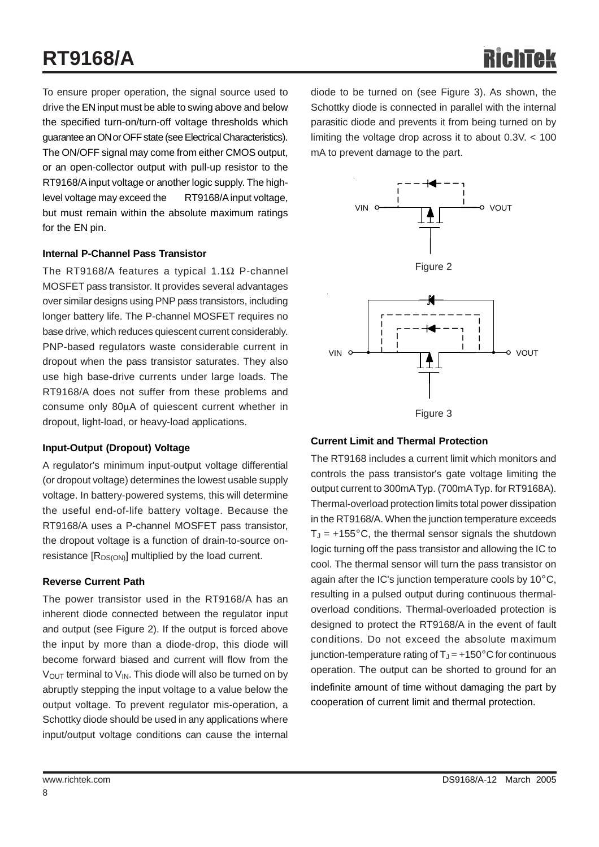# **RT9168/A**

To ensure proper operation, the signal source used to drive the EN input must be able to swing above and below the specified turn-on/turn-off voltage thresholds which guarantee an ON or OFF state (see Electrical Characteristics). The ON/OFF signal may come from either CMOS output, or an open-collector output with pull-up resistor to the RT9168/A input voltage or another logic supply. The highlevel voltage may exceed the RT9168/A input voltage, but must remain within the absolute maximum ratings for the EN pin.

#### **Internal P-Channel Pass Transistor**

The RT9168/A features a typical 1.1Ω P-channel MOSFET pass transistor. It provides several advantages over similar designs using PNP pass transistors, including longer battery life. The P-channel MOSFET requires no base drive, which reduces quiescent current considerably. PNP-based regulators waste considerable current in dropout when the pass transistor saturates. They also use high base-drive currents under large loads. The RT9168/A does not suffer from these problems and consume only 80μA of quiescent current whether in dropout, light-load, or heavy-load applications.

#### **Input-Output (Dropout) Voltage**

A regulator's minimum input-output voltage differential (or dropout voltage) determines the lowest usable supply voltage. In battery-powered systems, this will determine the useful end-of-life battery voltage. Because the RT9168/A uses a P-channel MOSFET pass transistor, the dropout voltage is a function of drain-to-source onresistance  $[R_{DS(ON)}]$  multiplied by the load current.

#### **Reverse Current Path**

The power transistor used in the RT9168/A has an inherent diode connected between the regulator input and output (see Figure 2). If the output is forced above the input by more than a diode-drop, this diode will become forward biased and current will flow from the  $V<sub>OUT</sub>$  terminal to  $V<sub>IN</sub>$ . This diode will also be turned on by abruptly stepping the input voltage to a value below the output voltage. To prevent regulator mis-operation, a Schottky diode should be used in any applications where input/output voltage conditions can cause the internal

diode to be turned on (see Figure 3). As shown, the Schottky diode is connected in parallel with the internal parasitic diode and prevents it from being turned on by limiting the voltage drop across it to about 0.3V. < 100 mA to prevent damage to the part.



#### **Current Limit and Thermal Protection**

The RT9168 includes a current limit which monitors and controls the pass transistor's gate voltage limiting the output current to 300mA Typ. (700mA Typ. for RT9168A). Thermal-overload protection limits total power dissipation in the RT9168/A. When the junction temperature exceeds  $T_J = +155^{\circ}$ C, the thermal sensor signals the shutdown logic turning off the pass transistor and allowing the IC to cool. The thermal sensor will turn the pass transistor on again after the IC's junction temperature cools by 10°C, resulting in a pulsed output during continuous thermaloverload conditions. Thermal-overloaded protection is designed to protect the RT9168/A in the event of fault conditions. Do not exceed the absolute maximum junction-temperature rating of  $T_J = +150^{\circ}$ C for continuous operation. The output can be shorted to ground for an indefinite amount of time without damaging the part by cooperation of current limit and thermal protection.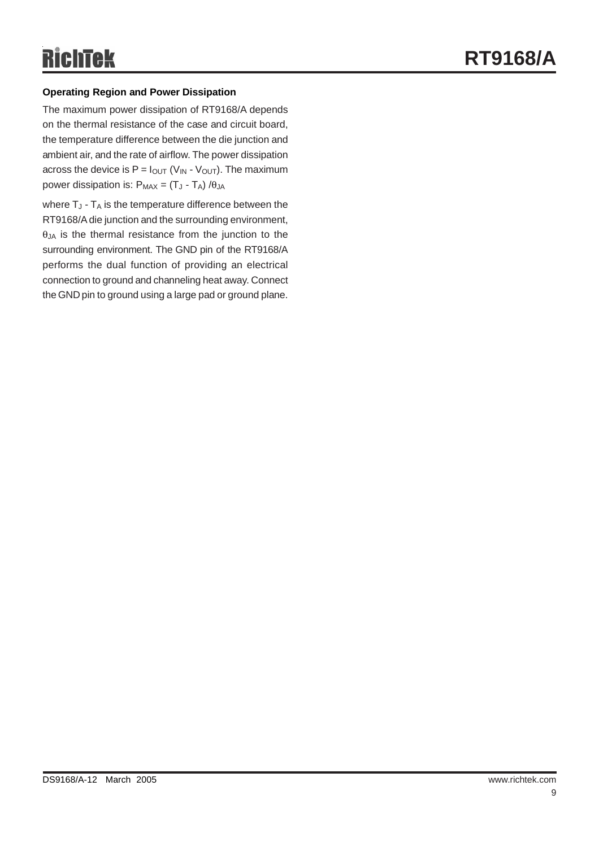#### **Operating Region and Power Dissipation**

The maximum power dissipation of RT9168/A depends on the thermal resistance of the case and circuit board, the temperature difference between the die junction and ambient air, and the rate of airflow. The power dissipation across the device is  $P = I<sub>OUT</sub> (V<sub>IN</sub> - V<sub>OUT</sub>)$ . The maximum power dissipation is:  $P_{MAX} = (T_J - T_A) / \theta_{JA}$ 

where  $T_J$  -  $T_A$  is the temperature difference between the RT9168/A die junction and the surrounding environment,  $\theta$ <sub>JA</sub> is the thermal resistance from the junction to the surrounding environment. The GND pin of the RT9168/A performs the dual function of providing an electrical connection to ground and channeling heat away. Connect the GND pin to ground using a large pad or ground plane.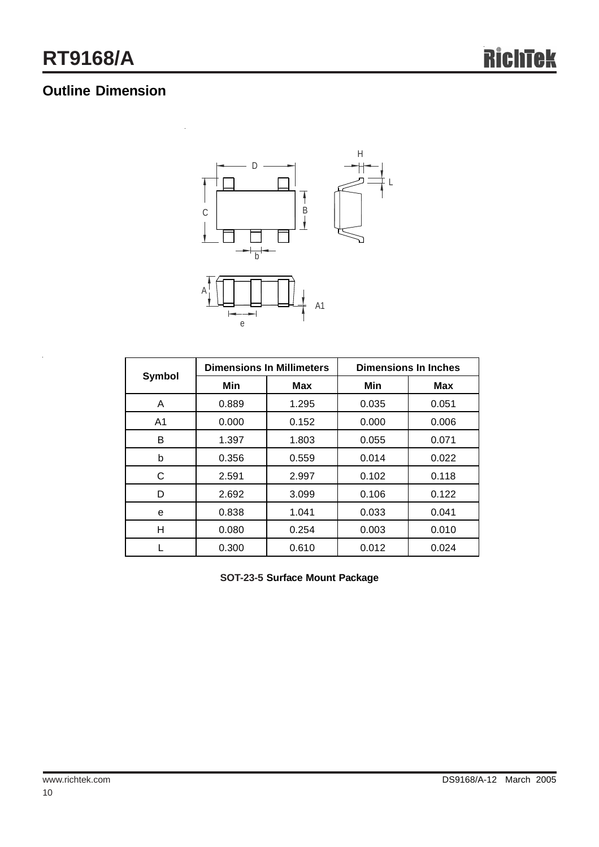# **Outline Dimension**



|                |       | <b>Dimensions In Millimeters</b> | <b>Dimensions In Inches</b> |            |  |
|----------------|-------|----------------------------------|-----------------------------|------------|--|
| <b>Symbol</b>  | Min   | <b>Max</b>                       | Min                         | <b>Max</b> |  |
| A              | 0.889 | 1.295                            | 0.035                       | 0.051      |  |
| A <sub>1</sub> | 0.000 | 0.152                            | 0.000                       | 0.006      |  |
| B              | 1.397 | 1.803                            | 0.055                       | 0.071      |  |
| b              | 0.356 | 0.559                            | 0.014                       | 0.022      |  |
| С              | 2.591 | 2.997                            | 0.102                       | 0.118      |  |
| D              | 2.692 | 3.099                            | 0.106                       | 0.122      |  |
| е              | 0.838 | 1.041                            | 0.033                       | 0.041      |  |
| н              | 0.080 | 0.254                            | 0.003                       | 0.010      |  |
|                | 0.300 | 0.610                            | 0.012                       | 0.024      |  |

**SOT-23-5 Surface Mount Package**